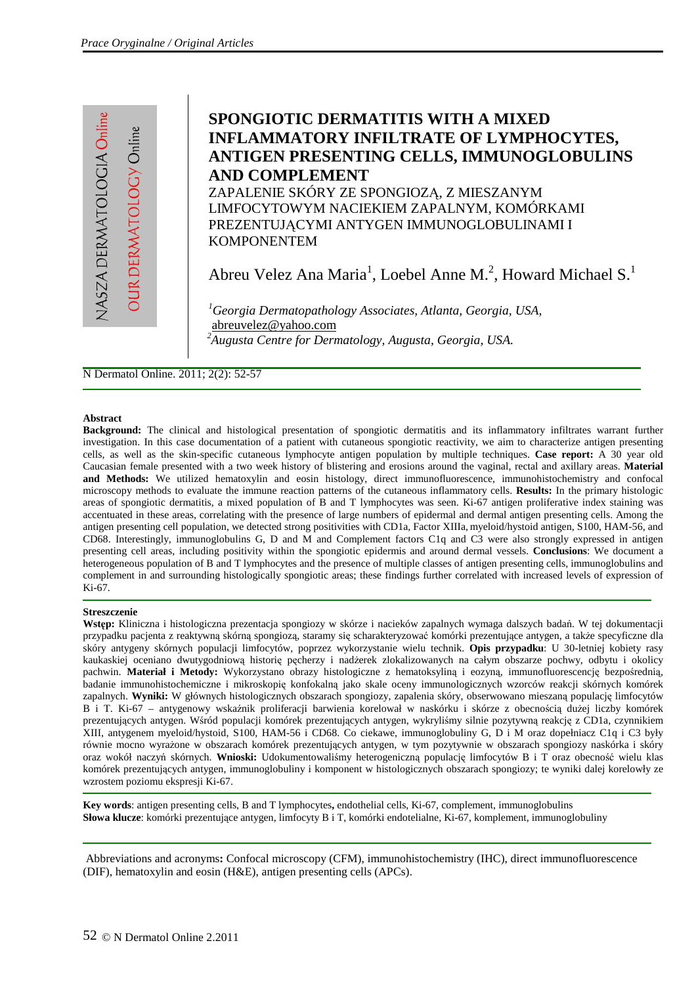JASZA DERMATOLOGIA Onlin **OUR DERMATOLOGY Online** 

# **SPONGIOTIC DERMATITIS WITH A MIXED INFLAMMATORY INFILTRATE OF LYMPHOCYTES, ANTIGEN PRESENTING CELLS, IMMUNOGLOBULINS AND COMPLEMENT**  ZAPALENIE SKÓRY ZE SPONGIOZĄ, Z MIESZANYM

LIMFOCYTOWYM NACIEKIEM ZAPALNYM, KOMÓRKAMI PREZENTUJĄCYMI ANTYGEN IMMUNOGLOBULINAMI I KOMPONENTEM

Abreu Velez Ana Maria<sup>1</sup>, Loebel Anne M.<sup>2</sup>, Howard Michael S.<sup>1</sup>

*<sup>1</sup>Georgia Dermatopathology Associates, Atlanta, Georgia, USA,*  abreuvelez@yahoo.com *<sup>2</sup>Augusta Centre for Dermatology, Augusta, Georgia, USA.*

N Dermatol Online. 2011; 2(2): 52-57

#### **Abstract**

**Background:** The clinical and histological presentation of spongiotic dermatitis and its inflammatory infiltrates warrant further investigation. In this case documentation of a patient with cutaneous spongiotic reactivity, we aim to characterize antigen presenting cells, as well as the skin-specific cutaneous lymphocyte antigen population by multiple techniques. **Case report:** A 30 year old Caucasian female presented with a two week history of blistering and erosions around the vaginal, rectal and axillary areas. **Material and Methods:** We utilized hematoxylin and eosin histology, direct immunofluorescence, immunohistochemistry and confocal microscopy methods to evaluate the immune reaction patterns of the cutaneous inflammatory cells. **Results:** In the primary histologic areas of spongiotic dermatitis, a mixed population of B and T lymphocytes was seen. Ki-67 antigen proliferative index staining was accentuated in these areas, correlating with the presence of large numbers of epidermal and dermal antigen presenting cells. Among the antigen presenting cell population, we detected strong positivities with CD1a, Factor XIIIa, myeloid/hystoid antigen, S100, HAM-56, and CD68. Interestingly, immunoglobulins G, D and M and Complement factors C1q and C3 were also strongly expressed in antigen presenting cell areas, including positivity within the spongiotic epidermis and around dermal vessels. **Conclusions**: We document a heterogeneous population of B and T lymphocytes and the presence of multiple classes of antigen presenting cells, immunoglobulins and complement in and surrounding histologically spongiotic areas; these findings further correlated with increased levels of expression of Ki-67.

#### **Streszczenie**

**Wst**ę**p:** Kliniczna i histologiczna prezentacja spongiozy w skórze i nacieków zapalnych wymaga dalszych badań. W tej dokumentacji przypadku pacjenta z reaktywną skórną spongiozą, staramy się scharakteryzować komórki prezentujące antygen, a także specyficzne dla skóry antygeny skórnych populacji limfocytów, poprzez wykorzystanie wielu technik. **Opis przypadku**: U 30-letniej kobiety rasy kaukaskiej oceniano dwutygodniową historię pęcherzy i nadżerek zlokalizowanych na całym obszarze pochwy, odbytu i okolicy pachwin. **Materiał i Metody:** Wykorzystano obrazy histologiczne z hematoksyliną i eozyną, immunofluorescencję bezpośrednią, badanie immunohistochemiczne i mikroskopię konfokalną jako skale oceny immunologicznych wzorców reakcji skórnych komórek zapalnych. **Wyniki:** W głównych histologicznych obszarach spongiozy, zapalenia skóry, obserwowano mieszaną populację limfocytów B i T. Ki-67 – antygenowy wskaźnik proliferacji barwienia korelował w naskórku i skórze z obecnością dużej liczby komórek prezentujących antygen. Wśród populacji komórek prezentujących antygen, wykryliśmy silnie pozytywną reakcję z CD1a, czynnikiem XIII, antygenem myeloid/hystoid, S100, HAM-56 i CD68. Co ciekawe, immunoglobuliny G, D i M oraz dopełniacz C1q i C3 były równie mocno wyrażone w obszarach komórek prezentujących antygen, w tym pozytywnie w obszarach spongiozy naskórka i skóry oraz wokół naczyń skórnych. **Wnioski:** Udokumentowaliśmy heterogeniczną populację limfocytów B i T oraz obecność wielu klas komórek prezentujących antygen, immunoglobuliny i komponent w histologicznych obszarach spongiozy; te wyniki dalej korelowły ze wzrostem poziomu ekspresji Ki-67.

**Key words**: antigen presenting cells, B and T lymphocytes**,** endothelial cells, Ki-67, complement, immunoglobulins **Słowa klucze**: komórki prezentujące antygen, limfocyty B i T, komórki endotelialne, Ki-67, komplement, immunoglobuliny

Abbreviations and acronyms**:** Confocal microscopy (CFM), immunohistochemistry (IHC), direct immunofluorescence (DIF), hematoxylin and eosin (H&E), antigen presenting cells (APCs).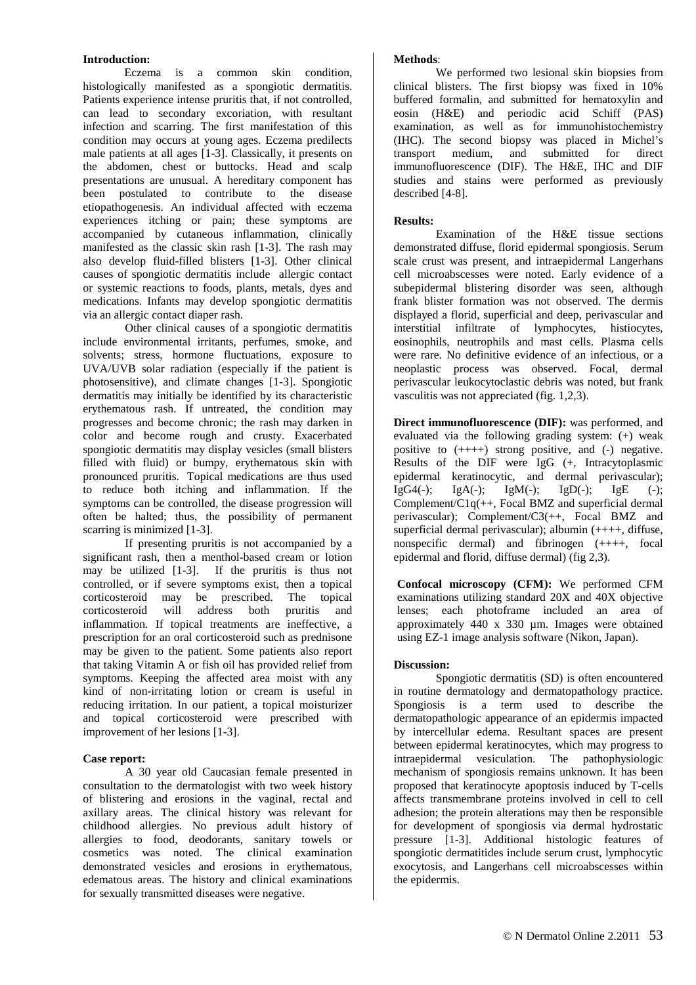# **Introduction:**

Eczema is a common skin condition, histologically manifested as a spongiotic dermatitis. Patients experience intense pruritis that, if not controlled, can lead to secondary excoriation, with resultant infection and scarring. The first manifestation of this condition may occurs at young ages. Eczema predilects male patients at all ages [1-3]. Classically, it presents on the abdomen, chest or buttocks. Head and scalp presentations are unusual. A hereditary component has been postulated to contribute to the disease etiopathogenesis. An individual affected with eczema experiences itching or pain; these symptoms are accompanied by cutaneous inflammation, clinically manifested as the classic skin rash [1-3]. The rash may also develop fluid-filled blisters [1-3]. Other clinical causes of spongiotic dermatitis include allergic contact or systemic reactions to foods, plants, metals, dyes and medications. Infants may develop spongiotic dermatitis via an allergic contact diaper rash.

Other clinical causes of a spongiotic dermatitis include environmental irritants, perfumes, smoke, and solvents; stress, hormone fluctuations, exposure to UVA/UVB solar radiation (especially if the patient is photosensitive), and climate changes [1-3]. Spongiotic dermatitis may initially be identified by its characteristic erythematous rash. If untreated, the condition may progresses and become chronic; the rash may darken in color and become rough and crusty. Exacerbated spongiotic dermatitis may display vesicles (small blisters filled with fluid) or bumpy, erythematous skin with pronounced pruritis. Topical medications are thus used to reduce both itching and inflammation. If the symptoms can be controlled, the disease progression will often be halted; thus, the possibility of permanent scarring is minimized [1-3].

If presenting pruritis is not accompanied by a significant rash, then a menthol-based cream or lotion may be utilized [1-3]. If the pruritis is thus not controlled, or if severe symptoms exist, then a topical corticosteroid may be prescribed. The topical corticosteroid will address both pruritis and inflammation. If topical treatments are ineffective, a prescription for an oral corticosteroid such as prednisone may be given to the patient. Some patients also report that taking Vitamin A or fish oil has provided relief from symptoms. Keeping the affected area moist with any kind of non-irritating lotion or cream is useful in reducing irritation. In our patient, a topical moisturizer and topical corticosteroid were prescribed with improvement of her lesions [1-3].

# **Case report:**

A 30 year old Caucasian female presented in consultation to the dermatologist with two week history of blistering and erosions in the vaginal, rectal and axillary areas. The clinical history was relevant for childhood allergies. No previous adult history of allergies to food, deodorants, sanitary towels or cosmetics was noted. The clinical examination demonstrated vesicles and erosions in erythematous, edematous areas. The history and clinical examinations for sexually transmitted diseases were negative.

# **Methods**:

We performed two lesional skin biopsies from clinical blisters. The first biopsy was fixed in 10% buffered formalin, and submitted for hematoxylin and eosin (H&E) and periodic acid Schiff (PAS) examination, as well as for immunohistochemistry (IHC). The second biopsy was placed in Michel's transport medium, and submitted for direct immunofluorescence (DIF). The H&E, IHC and DIF studies and stains were performed as previously described [4-8].

# **Results:**

Examination of the H&E tissue sections demonstrated diffuse, florid epidermal spongiosis. Serum scale crust was present, and intraepidermal Langerhans cell microabscesses were noted. Early evidence of a subepidermal blistering disorder was seen, although frank blister formation was not observed. The dermis displayed a florid, superficial and deep, perivascular and interstitial infiltrate of lymphocytes, histiocytes, eosinophils, neutrophils and mast cells. Plasma cells were rare. No definitive evidence of an infectious, or a neoplastic process was observed. Focal, dermal perivascular leukocytoclastic debris was noted, but frank vasculitis was not appreciated (fig. 1,2,3).

**Direct immunofluorescence (DIF):** was performed, and evaluated via the following grading system: (+) weak positive to (++++) strong positive, and (-) negative. Results of the DIF were IgG (+, Intracytoplasmic epidermal keratinocytic, and dermal perivascular); IgG4(-);  $IgA(-);$  IgM(-); IgD(-); IgE (-); Complement/C1q(++, Focal BMZ and superficial dermal perivascular); Complement/C3(++, Focal BMZ and superficial dermal perivascular); albumin (++++, diffuse, nonspecific dermal) and fibrinogen (++++, focal epidermal and florid, diffuse dermal) (fig 2,3).

**Confocal microscopy (CFM):** We performed CFM examinations utilizing standard 20X and 40X objective lenses; each photoframe included an area of approximately 440 x 330 µm. Images were obtained using EZ-1 image analysis software (Nikon, Japan).

# **Discussion:**

Spongiotic dermatitis (SD) is often encountered in routine dermatology and dermatopathology practice. Spongiosis is a term used to describe the dermatopathologic appearance of an epidermis impacted by intercellular edema. Resultant spaces are present between epidermal keratinocytes, which may progress to intraepidermal vesiculation. The pathophysiologic mechanism of spongiosis remains unknown. It has been proposed that keratinocyte apoptosis induced by T-cells affects transmembrane proteins involved in cell to cell adhesion; the protein alterations may then be responsible for development of spongiosis via dermal hydrostatic pressure [1-3]. Additional histologic features of spongiotic dermatitides include serum crust, lymphocytic exocytosis, and Langerhans cell microabscesses within the epidermis.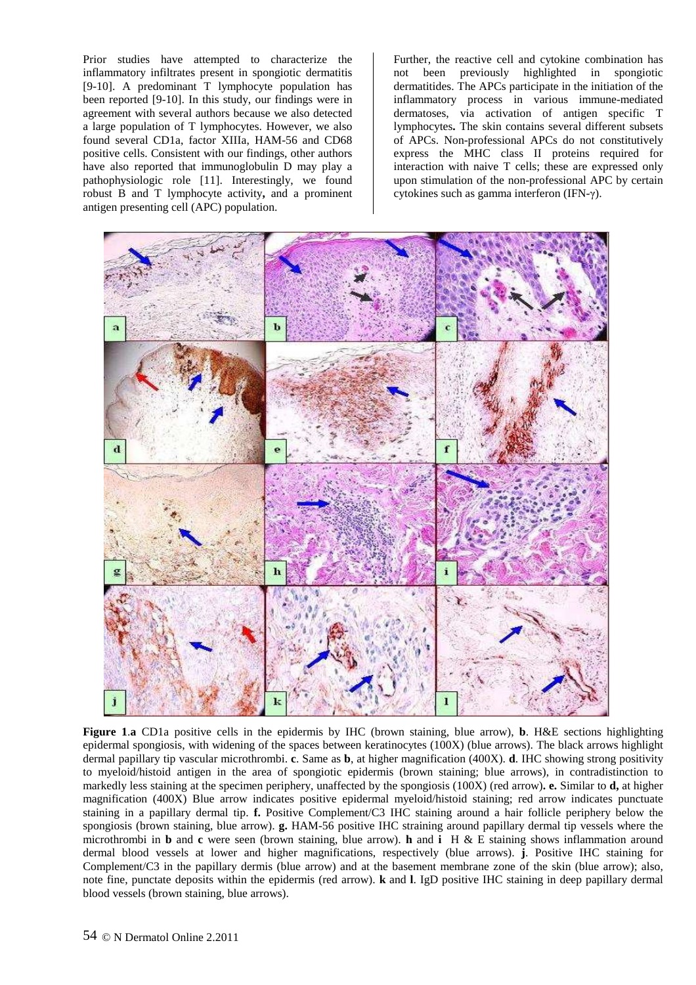Prior studies have attempted to characterize the inflammatory infiltrates present in spongiotic dermatitis [9-10]. A predominant T lymphocyte population has been reported [9-10]. In this study, our findings were in agreement with several authors because we also detected a large population of T lymphocytes. However, we also found several CD1a, factor XIIIa, HAM-56 and CD68 positive cells. Consistent with our findings, other authors have also reported that immunoglobulin D may play a pathophysiologic role [11]. Interestingly, we found robust B and T lymphocyte activity**,** and a prominent antigen presenting cell (APC) population.

Further, the reactive cell and cytokine combination has not been previously highlighted in spongiotic dermatitides. The APCs participate in the initiation of the inflammatory process in various immune-mediated dermatoses, via activation of antigen specific T lymphocytes**.** The skin contains several different subsets of APCs. Non-professional APCs do not constitutively express the MHC class II proteins required for interaction with naive T cells; these are expressed only upon stimulation of the non-professional APC by certain cytokines such as gamma interferon (IFN-γ).



**Figure 1**.**a** CD1a positive cells in the epidermis by IHC (brown staining, blue arrow), **b**. H&E sections highlighting epidermal spongiosis, with widening of the spaces between keratinocytes (100X) (blue arrows). The black arrows highlight dermal papillary tip vascular microthrombi. **c**. Same as **b**, at higher magnification (400X). **d**. IHC showing strong positivity to myeloid/histoid antigen in the area of spongiotic epidermis (brown staining; blue arrows), in contradistinction to markedly less staining at the specimen periphery, unaffected by the spongiosis (100X) (red arrow)**. e.** Similar to **d,** at higher magnification (400X) Blue arrow indicates positive epidermal myeloid/histoid staining; red arrow indicates punctuate staining in a papillary dermal tip. **f.** Positive Complement/C3 IHC staining around a hair follicle periphery below the spongiosis (brown staining, blue arrow). **g.** HAM-56 positive IHC straining around papillary dermal tip vessels where the microthrombi in **b** and **c** were seen (brown staining, blue arrow). **h** and **i** H & E staining shows inflammation around dermal blood vessels at lower and higher magnifications, respectively (blue arrows). **j**. Positive IHC staining for Complement/C3 in the papillary dermis (blue arrow) and at the basement membrane zone of the skin (blue arrow); also, note fine, punctate deposits within the epidermis (red arrow). **k** and **l**. IgD positive IHC staining in deep papillary dermal blood vessels (brown staining, blue arrows).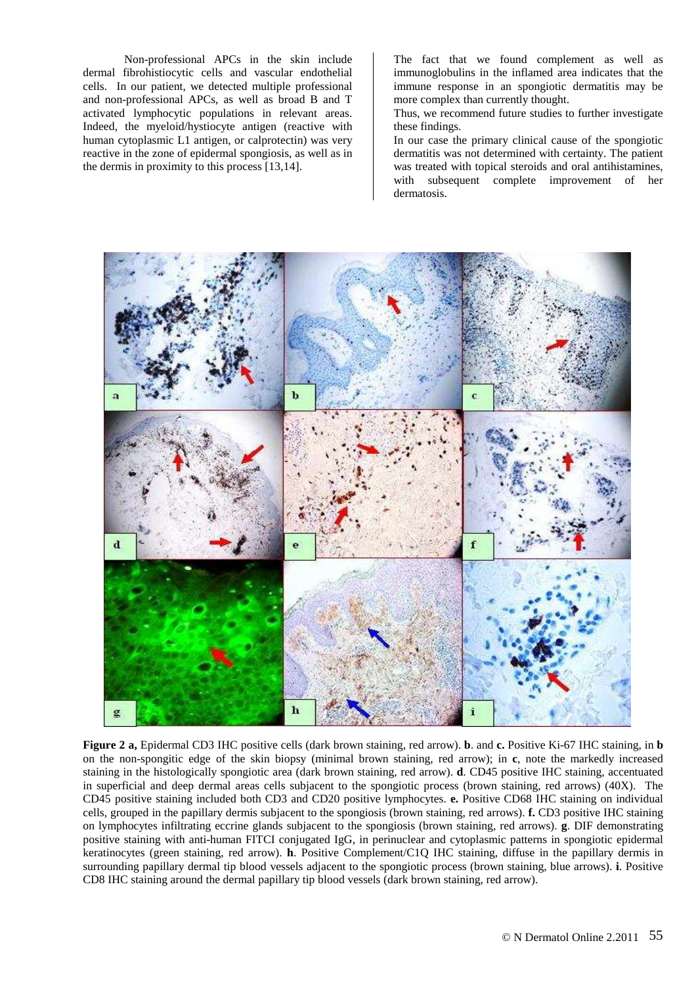Non-professional APCs in the skin include dermal fibrohistiocytic cells and vascular endothelial cells. In our patient, we detected multiple professional and non-professional APCs, as well as broad B and T activated lymphocytic populations in relevant areas. Indeed, the myeloid/hystiocyte antigen (reactive with human cytoplasmic L1 antigen, or calprotectin) was very reactive in the zone of epidermal spongiosis, as well as in the dermis in proximity to this process [13,14].

The fact that we found complement as well as immunoglobulins in the inflamed area indicates that the immune response in an spongiotic dermatitis may be more complex than currently thought.

Thus, we recommend future studies to further investigate these findings.

In our case the primary clinical cause of the spongiotic dermatitis was not determined with certainty. The patient was treated with topical steroids and oral antihistamines, with subsequent complete improvement of her dermatosis.



**Figure 2 a,** Epidermal CD3 IHC positive cells (dark brown staining, red arrow). **b**. and **c.** Positive Ki-67 IHC staining, in **b** on the non-spongitic edge of the skin biopsy (minimal brown staining, red arrow); in **c**, note the markedly increased staining in the histologically spongiotic area (dark brown staining, red arrow). **d**. CD45 positive IHC staining, accentuated in superficial and deep dermal areas cells subjacent to the spongiotic process (brown staining, red arrows) (40X). The CD45 positive staining included both CD3 and CD20 positive lymphocytes. **e.** Positive CD68 IHC staining on individual cells, grouped in the papillary dermis subjacent to the spongiosis (brown staining, red arrows). **f.** CD3 positive IHC staining on lymphocytes infiltrating eccrine glands subjacent to the spongiosis (brown staining, red arrows). **g**. DIF demonstrating positive staining with anti-human FITCI conjugated IgG, in perinuclear and cytoplasmic patterns in spongiotic epidermal keratinocytes (green staining, red arrow). **h**. Positive Complement/C1Q IHC staining, diffuse in the papillary dermis in surrounding papillary dermal tip blood vessels adjacent to the spongiotic process (brown staining, blue arrows). **i**. Positive CD8 IHC staining around the dermal papillary tip blood vessels (dark brown staining, red arrow).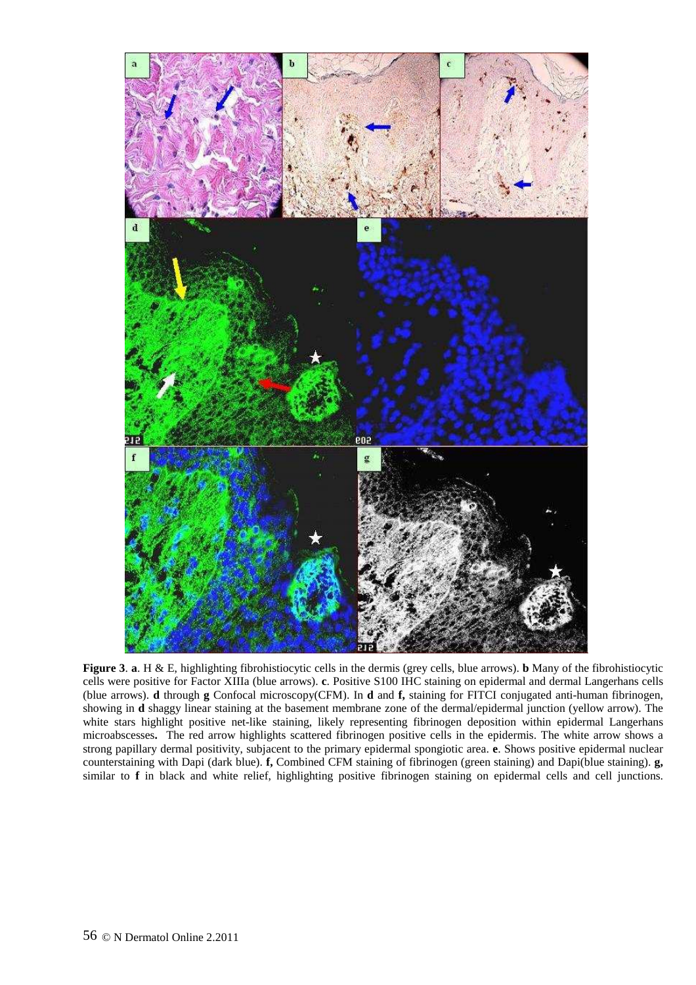

**Figure 3**. **a**. H & E, highlighting fibrohistiocytic cells in the dermis (grey cells, blue arrows). **b** Many of the fibrohistiocytic cells were positive for Factor XIIIa (blue arrows). **c**. Positive S100 IHC staining on epidermal and dermal Langerhans cells (blue arrows). **d** through **g** Confocal microscopy(CFM). In **d** and **f,** staining for FITCI conjugated anti-human fibrinogen, showing in **d** shaggy linear staining at the basement membrane zone of the dermal/epidermal junction (yellow arrow). The white stars highlight positive net-like staining, likely representing fibrinogen deposition within epidermal Langerhans microabscesses**.** The red arrow highlights scattered fibrinogen positive cells in the epidermis. The white arrow shows a strong papillary dermal positivity, subjacent to the primary epidermal spongiotic area. **e**. Shows positive epidermal nuclear counterstaining with Dapi (dark blue). **f,** Combined CFM staining of fibrinogen (green staining) and Dapi(blue staining). **g,**  similar to **f** in black and white relief, highlighting positive fibrinogen staining on epidermal cells and cell junctions.